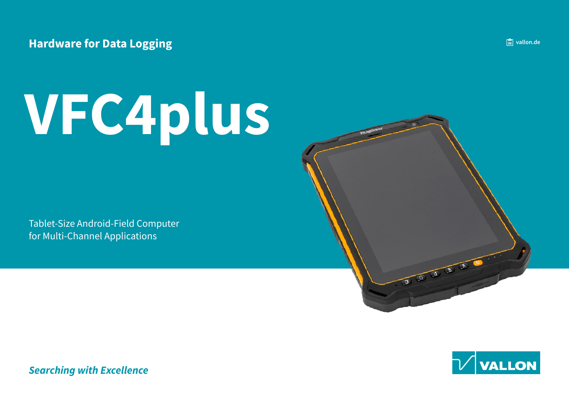### **Hardware for Data Logging**

# **VFC4plus**

Tablet-Size Android-Field Computer for Multi-Channel Applications





**Searching with Excellence**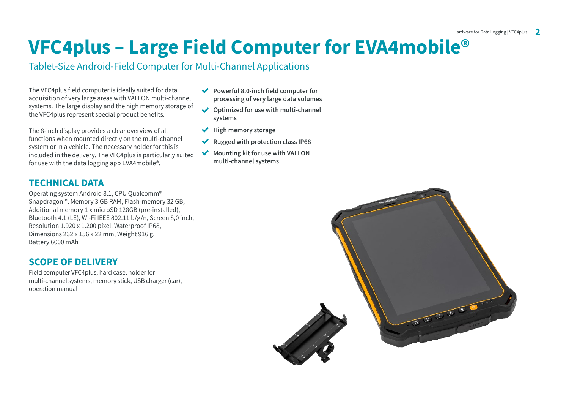## **VFC4plus - Large Field Computer for EVA4mobile<sup>®</sup>**

#### Tablet-Size Android-Field Computer for Multi-Channel Applications

The VFC4plus field computer is ideally suited for data acquisition of very large areas with VALLON multi-channel systems. The large display and the high memory storage of the VFC4plus represent special product benefits.

The 8-inch display provides a clear overview of all functions when mounted directly on the multi-channel system or in a vehicle. The necessary holder for this is included in the delivery. The VFC4plus is particularly suited for use with the data logging app EVA 4mobile<sup>®</sup>.

#### **TECHNICAL DATA**

Operating system Android 8.1, CPU Qualcomm<sup>®</sup> Snapdragon™, Memory 3 GB RAM, Flash-memory 32 GB, Additional memory 1 x microSD 128GB (pre-installed), Bluetooth 4.1 (LE), Wi-Fi IEEE 802.11  $b/g/n$ , Screen 8.0 inch, Resolution 1.920 x 1.200 pixel, Waterproof IP68, Dimensions 232 x 156 x 22 mm, Weight 916 g, Battery 6000 mAh

#### **SCOPE OF DELIVERY**

Field computer VFC4plus, hard case, holder for multi-channel systems, memory stick, USB charger (car), operation manual

- **Powerful 8.0-inch field computer for** processing of very large data volumes
- **↓** Optimized for use with multi-channel **systems**
- $\blacktriangleright$  High memory storage
- ◆ Rugged with protection class IP68
- **V** Mounting kit for use with VALLON multi-channel systems